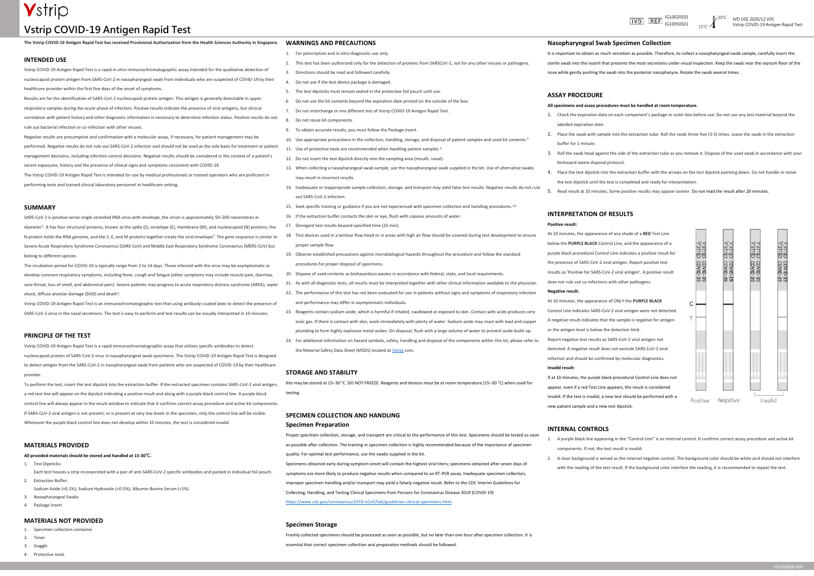## **Vstrip COVID-19 Antigen Rapid Test**



correlation with patient history and other diagnostic information is necessary to determine infection status. Positive results do not rule out bacterial infection or co-infection with other viruses.

Negative results are presumptive and confirmation with a molecular assay, if necessary, for patient management may be performed. Negative results do not rule out SARS-CoV-2 infection and should not be used as the sole basis for treatment or patient management decisions, including infection control decisions. Negative results should be considered in the context of a patient's recent exposures, history and the presence of clinical signs and symptoms consistent with COVID-19.

The Vstrip COVID-19 Antigen Rapid Test is intended for use by medical professionals or trained operators who are proficient in performing tests and trained clinical laboratory personnel in healthcare setting.

#### **SUMMARY**

SARS-CoV-2 is positive-sense single-stranded RNA virus with envelope, the virion is approximately 50–200 nanometres in diameter<sup>1</sup> . It has four structural proteins, known as the spike (S), envelope (E), membrane (M), and nucleocapsid (N) proteins; the N protein holds the RNA genome, and the S, E, and M proteins together create the viral envelope<sup>2</sup>. The gene sequence is similar to Severe Acute Respiratory Syndrome Coronavirus (SARS-CoV) and Middle East Respiratory Syndrome Coronavirus (MERS-CoV) but belong to different species.

- Specimen collection containe
- 2. Timer
- 3. Goggle
- 4. Protective tools

**The Vstrip COVID-19 Antigen Rapid Test has received Provisional Authorization from the Health Sciences Authority in Singapore. WARNINGS AND PRECAUTIONS**

The incubation period for COVID-19 is typically range from 2 to 14 days. Those infected with the virus may be asymptomatic or develop common respiratory symptoms, including fever, cough and fatigue (other symptoms may include muscle pain, diarrhea, sore throat, loss of smell, and abdominal pain). Severe patients may progress to acute respiratory distress syndrome (ARDS), septic shock, diffuse alveolar damage (DAD) and death<sup>3</sup> .

|                                                                                                                                 | For prescription and in vitro diagnostic use only.                                                                       |
|---------------------------------------------------------------------------------------------------------------------------------|--------------------------------------------------------------------------------------------------------------------------|
| <b>INTENDED USE</b>                                                                                                             | This test has been authorized only for the detection of proteins from SARSCoV-2, not for any other viruses or pathogens. |
| Vstrip COVID-19 Antigen Rapid Test is a rapid in vitro immunochromatographic assay intended for the qualitative detection of    | Directions should be read and followed carefully.                                                                        |
| nucleocapsid protein antigen from SARS-CoV-2 in nasopharyngeal swab from individuals who are suspected of COVID-19 by their     | Do not use if the test device package is damaged.                                                                        |
| healthcare provider within the first five days of the onset of symptoms.                                                        | The test dipsticks must remain sealed in the protective foil pouch until use.                                            |
| Results are for the identification of SARS-CoV-2 nucleocapsid protein antigen. This antigen is generally detectable in upper    | Do not use the kit contents beyond the expiration date printed on the outside of the box.                                |
| respiratory samples during the acute phase of infection. Positive results indicate the presence of viral antigens, but clinical | Do not interchange or mix different lots of Vstrip COVID-19 Antigen Rapid Test.                                          |
|                                                                                                                                 |                                                                                                                          |

Vstrip COVID-19 Antigen Rapid Test is an immunochromatographic test that using antibody-coated latex to detect the presence of SARS-CoV-2 virus in the nasal secretions. The test is easy to perform and test results can be visually interpreted in 10 minutes.

#### **PRINCIPLE OF THE TEST**

Vstrip COVID-19 Antigen Rapid Test is a rapid immunochromatographic assay that utilizes specific antibodies to detect nucleocapsid protein of SARS-CoV-2 virus in nasopharyngeal swab specimens. The Vstrip COVID-19 Antigen Rapid Test is designed to detect antigen from the SARS-CoV-2 in nasopharyngeal swab from patients who are suspected of COVID-19 by their healthcare provider.

To perform the test, insert the test dipstick into the extraction buffer. If the extracted specimen contains SARS-CoV-2 viral antigen, a red test line will appear on the dipstick indicating a positive result and along with a purple black control line. A purple black control line will always appear in the result window to indicate that it confirms correct assay procedure and active kit components. If SARS-CoV-2 viral antigen is not present, or is present at very low levels in the specimen, only the control line will be visible. Whenever the purple black control line does not develop within 10 minutes, the test is considered invalid.

#### **MATERIALS PROVIDED**

**All provided materials should be stored and handled at 15-30℃.**

- 1. Test Dipsticks:
- Each test houses a strip incorporated with a pair of anti-SARS-CoV-2 specific antibodies and packed in individual foil pouch. 2. Extraction Buffer:
- Sodium Azide (<0.1%); Sodium Hydroxide (<0.5%); Albumin Bovine Serum (<1%)
- 3. Nasopharyngeal Swabs
- 4. Package Insert

#### **MATERIALS NOT PROVIDED**

- 8. Do not reuse kit components.
- 
- 10. Use appropriate precautions in the collection, handling, storage, and disposal of patient samples and used kit contents.<sup>4</sup>
	-
- 12. Do not insert the test dipstick directly into the sampling area (mouth, nasal).
- 
- 9. To obtain accurate results, you must follow the Package Insert.
- 
- 11. Use of protective tools are recommended when handling patient samples.<sup>4</sup>
- 
- 13. When collecting a nasopharyngeal swab sample, use the nasopharyngeal swab supplied in the kit. Use of alternative swabs may result in incorrect results.
- 14. Inadequate or inappropriate sample collection, storage, and transport may yield false test results. Negative results do not rule out SARS-CoV-2 infection.
- 15. Seek specific training or guidance if you are not experienced with specimen collection and handling procedures.5,6
- 16. If the extraction buffer contacts the skin or eye, flush with copious amounts of water.
- 17. Disregard test results beyond specified time (20 min).
- 18. Test devices used in a laminar flow hood or in areas with high air flow should be covered during test development to ensure proper sample flow.
- 19. Observe established precautions against microbiological hazards throughout the procedure and follow the standard procedures for proper disposal of specimens.
- 20. Dispose of used contents as biohazardous wastes in accordance with federal, state, and local requirements.
- 21. As with all diagnostic tests, all results must be interpreted together with other clinical information available to the physician.
- 22. The performance of this test has not been evaluated for use in patients without signs and symptoms of respiratory infection and performance may differ in asymptomatic individuals.
- 23. Reagents contain sodium azide, which is harmful if inhaled, swallowed or exposed to skin. Contact with acids produces very toxic gas. If there is contact with skin, wash immediately with plenty of water. Sodium azide may react with lead and copper plumbing to form highly explosive metal azides. On disposal, flush with a large volume of water to prevent azide build-up. 24. For additional information on hazard symbols, safety, handling and disposal of the components within this kit, please refer to
- the Material Safety Data Sheet (MSDS) located at [Vstrip](http://www.vstriptech.com/) com.

#### **STORAGE AND STABILITY**

Kits may be stored at 15–30 °C. DO NOT FREEZE. Reagents and devices must be at room temperature (15–30 °C) when used for testing.

#### **SPECIMEN COLLECTION AND HANDLING**

#### **Specimen Preparation**

Proper specimen collection, storage, and transport are critical to the performance of this test. Specimens should be tested as soon as possible after collection. The training in specimen collection is highly recommended because of the importance of specimen quality. For optimal test performance, use the swabs supplied in the kit.

Specimens obtained early during symptom onset will contain the highest viral titers; specimens obtained after seven days of symptoms are more likely to produce negative results when compared to an RT-PCR assay. Inadequate specimen collection, improper specimen handling and/or transport may yield a falsely negative result. Refer to the CDC Interim Guidelines for Collecting, Handling, and Testing Clinical Specimens from Persons for Coronavirus Disease 2019 (COVID-19) [https://www.cdc.gov/coronavirus/2019-nCoV/lab/guidelines-clinical-specimens.html.](https://www.cdc.gov/coronavirus/2019-nCoV/lab/guidelines-clinical-specimens.html)

#### **Specimen Storage**

Freshly collected specimens should be processed as soon as possible, but no later than one hour after specimen collection. It is essential that correct specimen collection and preparation methods should be followed.

#### **Nasopharyngeal Swab Specimen Collection**

- 
- 

It is important to obtain as much secretion as possible. Therefore, to collect a nasopharyngeal swab sample, carefully insert the sterile swab into the nostril that presents the most secretions under visual inspection. Keep the swab near the septum floor of the nose while gently pushing the swab into the posterior nasopharynx. Rotate the swab several times.

**ASSAY PROCEDURE**

labelled expiration date

#### **All specimens and assay procedures must be handled at room temperature.**

1. Check the expiration date on each component's package or outer box before use. Do not use any test material beyond the

2. Place the swab with sample into the extraction tube. Roll the swab three-five (3-5) times. Leave the swab in the extraction

buffer for 1 minute.

3. Roll the swab head against the side of the extraction tube as you remove it. Dispose of the used swab in accordance with your

# biohazard waste disposal protocol.

4. Place the test dipstick into the extraction buffer with the arrows on the test dipstick pointing down. Do not handle or move the test dipstick until the test is completed and ready for interpretation.

5. Read result at 10 minutes. Some positive results may appear sooner. Do not read the result after 20 minutes.



#### **INTERPRETATION OF RESULTS**

#### **Positive result:**

### At 10 minutes, the appearance of any shade of a **RED** Test Line below the **PURPLE BLACK** Control Line, and the appearance of a purple black procedural Control Line indicates a positive result for the presence of SARS-CoV-2 viral antigen. Report positive test results as 'Positive for SARS-CoV-2 viral antigen'. A positive result does not rule out co-infections with other pathogens.

#### **Negative result:**

At 10 minutes, the appearance of ONLY the **PURPLE BLACK** Control Line indicates SARS-CoV-2 viral antigen were not detected. A negative result indicates that the sample is negative for antigen or the antigen level is below the detection limit. Report negative test results as SARS-CoV-2 viral antigen not detected. A negative result does not exclude SARS-CoV-2 viral infection and should be confirmed by molecular diagnostics.

#### **Invalid result:**

If at 10 minutes, the purple black procedural Control Line does not appear, even if a red Test Line appears, the result is considered invalid. If the test is invalid, a new test should be performed with a new patient sample and a new test dipstick.

#### **INTERNAL CONTROLS**

1. A purple black line appearing in the "Control Line" is an internal control. It confirms correct assay procedure and active kit

- components. If not, the test result is invalid.
- 

2. A clear background is served as the internal negative control. The background color should be white and should not interfere with the reading of the test result. If the background color interfere the reading, it is recommended to repeat the test.